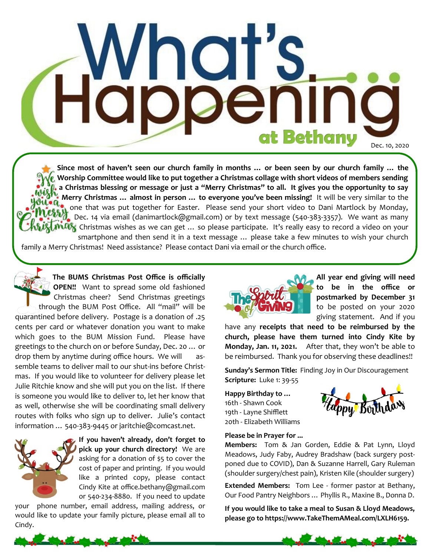# **Happeni** at Bethany Dec. 10, 2020

**Since most of haven't seen our church family in months … or been seen by our church family … the Worship Committee would like to put together a Christmas collage with short videos of members sending a Christmas blessing or message or just a "Merry Christmas" to all. It gives you the opportunity to say Merry Christmas … almost in person … to everyone you've been missing!** It will be very similar to the  $\overline{\mathcal{O}}$ , one that was put together for Easter. Please send your short video to Dani Martlock by Monday, Dec. 14 via email (danimartlock@gmail.com) or by text message (540-383-3357). We want as many  $\hat{C}$  Christmas wishes as we can get ... so please participate. It's really easy to record a video on your smartphone and then send it in a text message … please take a few minutes to wish your church family a Merry Christmas! Need assistance? Please contact Dani via email or the church office.

**The BUMS Christmas Post Office is officially OPEN!!** Want to spread some old fashioned Christmas cheer? Send Christmas greetings through the BUM Post Office. All "mail" will be quarantined before delivery. Postage is a donation of .25 cents per card or whatever donation you want to make which goes to the BUM Mission Fund. Please have greetings to the church on or before Sunday, Dec. 20 … or drop them by anytime during office hours. We will assemble teams to deliver mail to our shut-ins before Christmas. If you would like to volunteer for delivery please let Julie Ritchie know and she will put you on the list. If there is someone you would like to deliver to, let her know that as well, otherwise she will be coordinating small delivery routes with folks who sign up to deliver. Julie's contact information … 540-383-9445 or jaritchie@comcast.net.



**If you haven't already, don't forget to pick up your church directory!** We are asking for a donation of \$5 to cover the cost of paper and printing. If you would like a printed copy, please contact Cindy Kite at office.bethany@gmail.com or 540-234-8880. If you need to update

your phone number, email address, mailing address, or would like to update your family picture, please email all to Cindy.



**All year end giving will need to be in the office or postmarked by December 31**  to be posted on your 2020 giving statement. And if you

have any **receipts that need to be reimbursed by the church, please have them turned into Cindy Kite by Monday, Jan. 11, 2021.** After that, they won't be able to be reimbursed. Thank you for observing these deadlines!!

**Sunday's Sermon Title:** Finding Joy in Our Discouragement **Scripture:** Luke 1: 39-55

**Happy Birthday to …** 16th - Shawn Cook 19th - Layne Shifflett 20th - Elizabeth Williams



#### **Please be in Prayer for ...**

**Members:** Tom & Jan Gorden, Eddie & Pat Lynn, Lloyd Meadows, Judy Faby, Audrey Bradshaw (back surgery postponed due to COVID), Dan & Suzanne Harrell, Gary Ruleman (shoulder surgery/chest pain), Kristen Kile (shoulder surgery)

**Extended Members:** Tom Lee - former pastor at Bethany, Our Food Pantry Neighbors … Phyllis R., Maxine B., Donna D.

**If you would like to take a meal to Susan & Lloyd Meadows, please go to https://www.TakeThemAMeal.com/LXLH6159.**